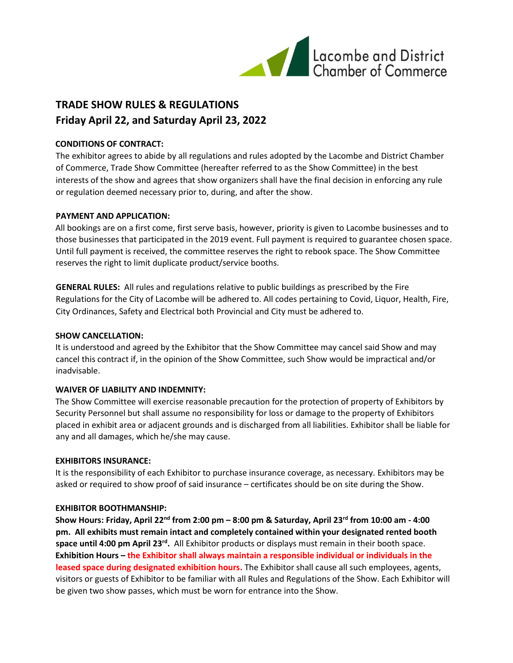

# **TRADE SHOW RULES & REGULATIONS Friday April 22, and Saturday April 23, 2022**

## **CONDITIONS OF CONTRACT:**

The exhibitor agrees to abide by all regulations and rules adopted by the Lacombe and District Chamber of Commerce, Trade Show Committee (hereafter referred to as the Show Committee) in the best interests of the show and agrees that show organizers shall have the final decision in enforcing any rule or regulation deemed necessary prior to, during, and after the show.

## **PAYMENT AND APPLICATION:**

All bookings are on a first come, first serve basis, however, priority is given to Lacombe businesses and to those businesses that participated in the 2019 event. Full payment is required to guarantee chosen space. Until full payment is received, the committee reserves the right to rebook space. The Show Committee reserves the right to limit duplicate product/service booths.

**GENERAL RULES:** All rules and regulations relative to public buildings as prescribed by the Fire Regulations for the City of Lacombe will be adhered to. All codes pertaining to Covid, Liquor, Health, Fire, City Ordinances, Safety and Electrical both Provincial and City must be adhered to.

## **SHOW CANCELLATION:**

It is understood and agreed by the Exhibitor that the Show Committee may cancel said Show and may cancel this contract if, in the opinion of the Show Committee, such Show would be impractical and/or inadvisable.

## **WAIVER OF LIABILITY AND INDEMNITY:**

The Show Committee will exercise reasonable precaution for the protection of property of Exhibitors by Security Personnel but shall assume no responsibility for loss or damage to the property of Exhibitors placed in exhibit area or adjacent grounds and is discharged from all liabilities. Exhibitor shall be liable for any and all damages, which he/she may cause.

## **EXHIBITORS INSURANCE:**

It is the responsibility of each Exhibitor to purchase insurance coverage, as necessary. Exhibitors may be asked or required to show proof of said insurance – certificates should be on site during the Show.

## **EXHIBITOR BOOTHMANSHIP:**

**Show Hours: Friday, April 22 nd from 2:00 pm – 8:00 pm & Saturday, April 23 rd from 10:00 am - 4:00 pm. All exhibits must remain intact and completely contained within your designated rented booth**  space until 4:00 pm April 23<sup>rd</sup>. All Exhibitor products or displays must remain in their booth space. **Exhibition Hours – the Exhibitor shall always maintain a responsible individual or individuals in the leased space during designated exhibition hours.** The Exhibitor shall cause all such employees, agents, visitors or guests of Exhibitor to be familiar with all Rules and Regulations of the Show. Each Exhibitor will be given two show passes, which must be worn for entrance into the Show.